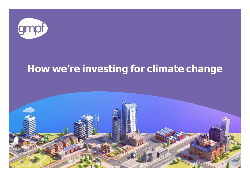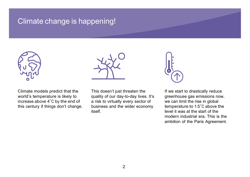## Climate change is happening!





Climate models predict that the world's temperature is likely to increase above 4˚C by the end of this century if things don't change.

This doesn't just threaten the quality of our day-to-day lives. It's a risk to virtually every sector of business and the wider economy itself.



If we start to drastically reduce greenhouse gas emissions now, we can limit the rise in global temperature to 1.5˚C above the level it was at the start of the modern industrial era. This is the ambition of the Paris Agreement.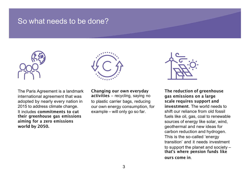#### So what needs to be done?



The Paris Agreement is a landmark international agreement that was adopted by nearly every nation in 2015 to address climate change. It includes **commitments to cut their greenhouse gas emissions aiming for a zero emissions world by 2050.** 



**Changing our own everyday activities** – recycling, saying no to plastic carrier bags, reducing our own energy consumption, for example – will only go so far.



**The reduction of greenhouse gas emissions on a large scale requires support and investment.** The world needs to shift our reliance from old fossil fuels like oil, gas, coal to renewable sources of energy like solar, wind, geothermal and new ideas for carbon reduction and hydrogen. This is the so-called 'energy transition' and it needs investment to support the planet and society – **that's where pension funds like ours come in.**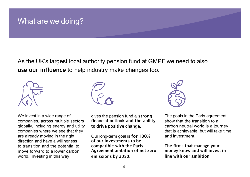## What are we doing?

As the UK's largest local authority pension fund at GMPF we need to also **use our influence** to help industry make changes too.







this way gives the pension fund **a strong financial outlook and the ability to drive positive change.** 

Our long-term goal is **for 100% of our investments to be compatible with the Paris Agreement ambition of net zero emissions by 2050.** 



The goals in the Paris agreement show that the transition to a carbon neutral world is a journey that is achievable, but will take time and investment.

**The firms that manage your money know and will invest in line with our ambition.**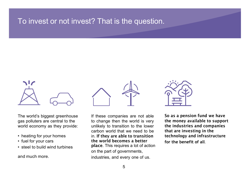## To invest or not invest? That is the question.



The world's biggest greenhouse gas polluters are central to the world economy as they provide:

- heating for your homes
- fuel for your cars
- steel to build wind turbines

and much more.





If these companies are not able to change then the world is very unlikely to transition to the lower carbon world that we need to be in. **If they are able to transition the world becomes a better place.** This requires a lot of action on the part of governments, industries, and every one of us.

**So as a pension fund we have the money available to support the industries and companies that are investing in the technology and infrastructure for the benefit of all.**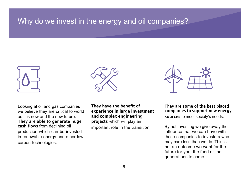#### Why do we invest in the energy and oil companies?



Looking at oil and gas companies we believe they are critical to world as it is now and the new future. **They are able to generate huge cash flows** from declining oil production which can be invested in renewable energy and other low carbon technologies.



**They have the benefit of experience in large investment and complex engineering projects** which will play an important role in the transition.



**They are some of the best placed companies to support new energy sources** to meet society's needs. By not investing we give away the influence that we can have with these companies to investors who may care less than we do. This is not an outcome we want for the future for you, the fund or the generations to come.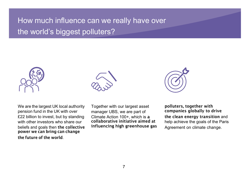# How much influence can we really have over the world's biggest polluters?



We are the largest UK local authority pension fund in the UK with over £22 billion to invest, but by standing with other investors who share our beliefs and goals then **the collective power we can bring can change the future of the world**.



Together with our largest asset manager UBS, we are part of Climate Action 100+, which is **a collaborative initiative aimed at influencing high greenhouse** 



**gas polluters, together with companies globally to drive the clean energy transition** and help achieve the goals of the Paris Agreement on climate change.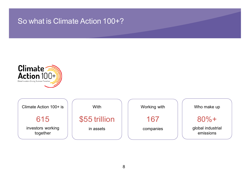## So what is Climate Action 100+?



Climate Action 100+ is

615

investors working together

**With** \$55 trillion in assets

Working with 167 companies

Who make up

80%+

global industrial emissions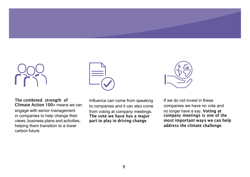

**The combined strength of Climate Action 100+** means we can engage with senior management in companies to help change their views, business plans and activities, helping them transition to a lower carbon future.



Influence can come from speaking to companies and it can also come from voting at company meetings.

**The vote we have has a major part to play in driving change**.



If we do not invest in these companies we have no vote and no longer have a say. **Voting at company meetings is one of the most important ways we can help address the climate challenge**.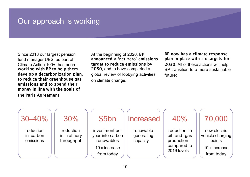## Our approach is working

Since 2018 our largest pension fund manager UBS, as part of Climate Action 100+, has been **working with BP to help them develop a decarbonization plan, to reduce their greenhouse gas emissions and to spend their money in line with the goals of the Paris Agreement**.

At the beginning of 2020, **BP announced a 'net zero' emissions target to reduce emissions by 2050**, and to have completed a global review of lobbying activities on climate change.

**BP now has a climate response plan in place with six targets for 2030**. All of these actions will help BP transition to a more sustainable future:

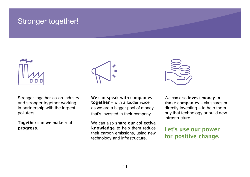### Stronger together!



Stronger together as an industry and stronger together working in partnership with the largest polluters. **Together can we make real progress**.



**We can speak with companies together** – with a louder voice as we are a bigger pool of money that's invested in their company. We can also **share our collective knowledge** to help them reduce their carbon emissions, using new technology and infrastructure.



We can also **invest money in those companies** – via shares or directly investing – to help them buy that technology or build new infrastructure.

**Let's use our power for positive change.**